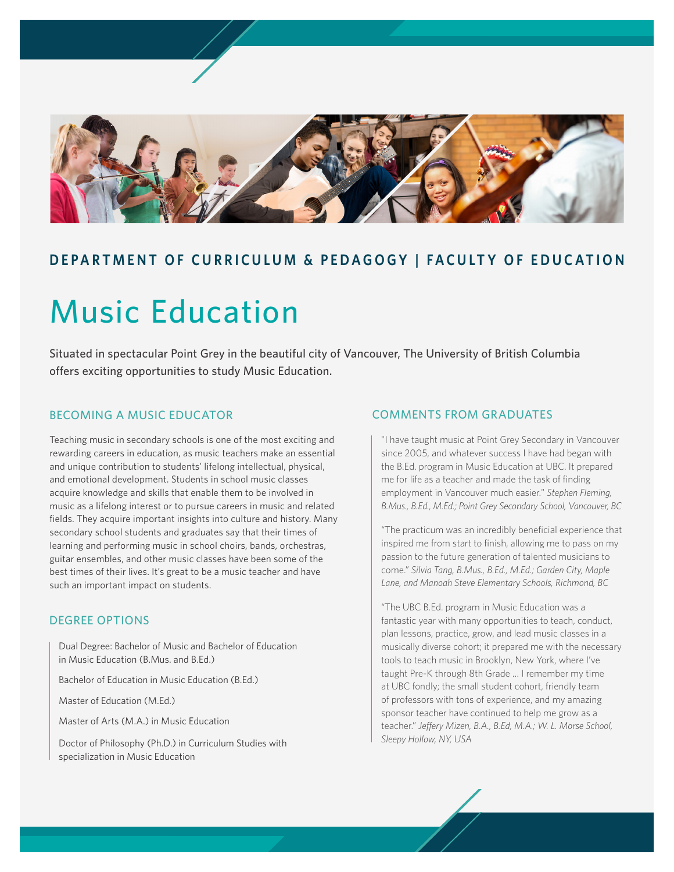

# **DEPARTMENT OF CURRICULUM & PEDAGOGY | FACULTY OF EDUCATION**

# Music Education

Situated in spectacular Point Grey in the beautiful city of Vancouver, The University of British Columbia offers exciting opportunities to study Music Education.

# BECOMING A MUSIC EDUCATOR

Teaching music in secondary schools is one of the most exciting and rewarding careers in education, as music teachers make an essential and unique contribution to students' lifelong intellectual, physical, and emotional development. Students in school music classes acquire knowledge and skills that enable them to be involved in music as a lifelong interest or to pursue careers in music and related fields. They acquire important insights into culture and history. Many secondary school students and graduates say that their times of learning and performing music in school choirs, bands, orchestras, guitar ensembles, and other music classes have been some of the best times of their lives. It's great to be a music teacher and have such an important impact on students.

# DEGREE OPTIONS

Dual Degree: Bachelor of Music and Bachelor of Education in Music Education (B.Mus. and B.Ed.)

Bachelor of Education in Music Education (B.Ed.)

Master of Education (M.Ed.)

Master of Arts (M.A.) in Music Education

Doctor of Philosophy (Ph.D.) in Curriculum Studies with specialization in Music Education

## COMMENTS FROM GRADUATES

"I have taught music at Point Grey Secondary in Vancouver since 2005, and whatever success I have had began with the B.Ed. program in Music Education at UBC. It prepared me for life as a teacher and made the task of finding employment in Vancouver much easier." *Stephen Fleming, B.Mus., B.Ed., M.Ed.; Point Grey Secondary School, Vancouver, BC*

"The practicum was an incredibly beneficial experience that inspired me from start to finish, allowing me to pass on my passion to the future generation of talented musicians to come." *Silvia Tang, B.Mus., B.Ed., M.Ed.; Garden City, Maple Lane, and Manoah Steve Elementary Schools, Richmond, BC*

"The UBC B.Ed. program in Music Education was a fantastic year with many opportunities to teach, conduct, plan lessons, practice, grow, and lead music classes in a musically diverse cohort; it prepared me with the necessary tools to teach music in Brooklyn, New York, where I've taught Pre-K through 8th Grade … I remember my time at UBC fondly; the small student cohort, friendly team of professors with tons of experience, and my amazing sponsor teacher have continued to help me grow as a teacher." *Jeffery Mizen, B.A., B.Ed, M.A.; W. L. Morse School, Sleepy Hollow, NY, USA*